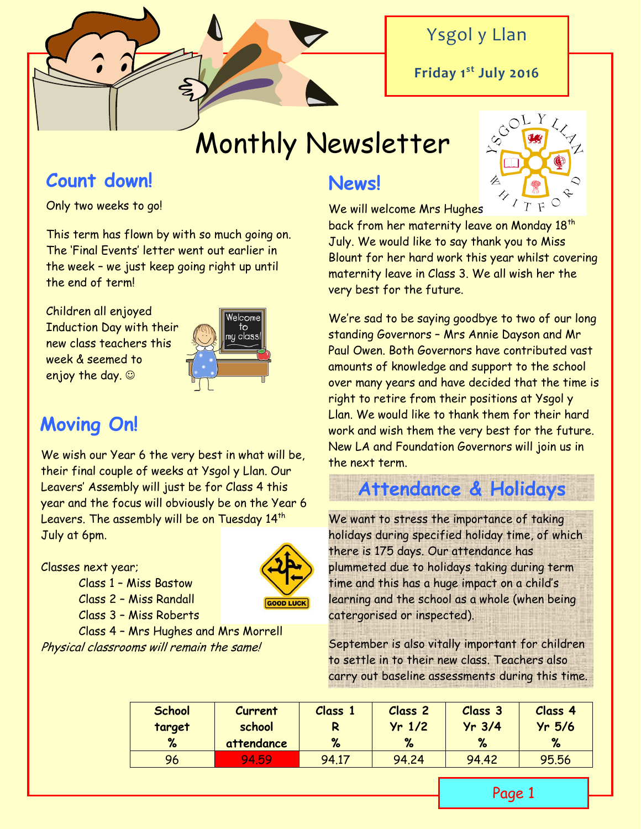

## Ysgol y Llan

**Friday 1st July 2016**

# Monthly Newsletter

## **Count down!**

Only two weeks to go!

This term has flown by with so much going on. The 'Final Events' letter went out earlier in the week – we just keep going right up until the end of term!

Children all enjoyed Induction Day with their new class teachers this week & seemed to enjoy the day.  $\odot$ 



## **Moving On!**

We wish our Year 6 the very best in what will be, their final couple of weeks at Ysgol y Llan. Our Leavers' Assembly will just be for Class 4 this year and the focus will obviously be on the Year 6 Leavers. The assembly will be on Tuesday 14<sup>th</sup> July at 6pm.

### Classes next year;



Class 4 – Mrs Hughes and Mrs Morrell Physical classrooms will remain the same!

Class 1 – Miss Bastow Class 2 – Miss Randall Class 3 – Miss Roberts

## **News!**



We will welcome Mrs Hughes

back from her maternity leave on Monday 18th July. We would like to say thank you to Miss Blount for her hard work this year whilst covering maternity leave in Class 3. We all wish her the very best for the future.

We're sad to be saying goodbye to two of our long standing Governors – Mrs Annie Dayson and Mr Paul Owen. Both Governors have contributed vast amounts of knowledge and support to the school over many years and have decided that the time is right to retire from their positions at Ysgol y Llan. We would like to thank them for their hard work and wish them the very best for the future. New LA and Foundation Governors will join us in the next term.

## **Attendance & Holidays**

We want to stress the importance of taking holidays during specified holiday time, of which there is 175 days. Our attendance has plummeted due to holidays taking during term time and this has a huge impact on a child's learning and the school as a whole (when being catergorised or inspected).

September is also vitally important for children to settle in to their new class. Teachers also carry out baseline assessments during this time.

| <b>School</b> | Current    | <b>Class</b> | Class <sub>2</sub> | Class 3  | Class 4  |
|---------------|------------|--------------|--------------------|----------|----------|
| target        | school     |              | $Yr$ 1/2           | $Yr$ 3/4 | $Yr$ 5/6 |
| $\%$          | attendance | %            | %                  | %        | %        |
| 96            | 94.59      | 94.17        | 94.24              | 94.42    | 95.56    |